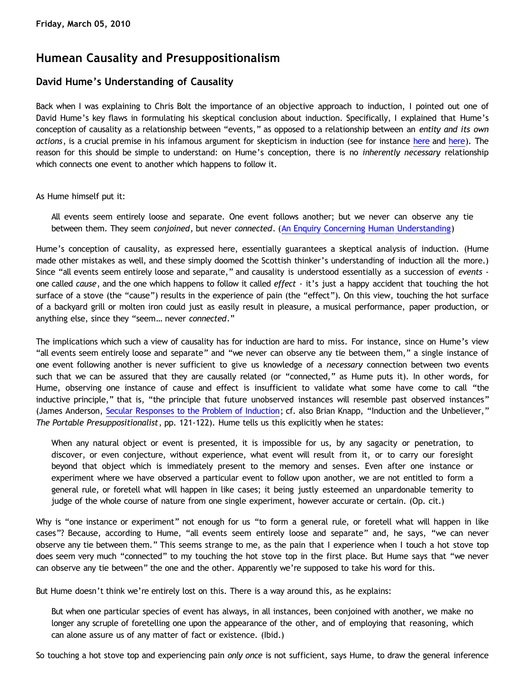## **Humean Causality and Presuppositionalism**

## **David Hume's Understanding of Causality**

Back when I was explaining to Chris Bolt the importance of an objective approach to induction, I pointed out one of David Hume's key flaws in formulating his skeptical conclusion about induction. Specifically, I explained that Hume's conception of causality as a relationship between "events," as opposed to a relationship between an *entity and its own actions*, is a crucial premise in his infamous argument for skepticism in induction (see for instance [here](http://bahnsenburner.blogspot.com/2009/09/bolts-loose-screws.html) and [here](http://bahnsenburner.blogspot.com/2009/10/chris-bolt-on-hume-and-induction.html)). The reason for this should be simple to understand: on Hume's conception, there is no *inherently necessary* relationship which connects one event to another which happens to follow it.

As Hume himself put it:

All events seem entirely loose and separate. One event follows another; but we never can observe any tie between them. They seem *conjoined*, but never *connected*. [\(An Enquiry Concerning Human Understanding](http://www.bartelby.org/37/3/10.html))

Hume's conception of causality, as expressed here, essentially guarantees a skeptical analysis of induction. (Hume made other mistakes as well, and these simply doomed the Scottish thinker's understanding of induction all the more.) Since "all events seem entirely loose and separate," and causality is understood essentially as a succession of *events* one called *cause*, and the one which happens to follow it called *effect* - it's just a happy accident that touching the hot surface of a stove (the "cause") results in the experience of pain (the "effect"). On this view, touching the hot surface of a backyard grill or molten iron could just as easily result in pleasure, a musical performance, paper production, or anything else, since they "seem… never *connected*."

The implications which such a view of causality has for induction are hard to miss. For instance, since on Hume's view "all events seem entirely loose and separate" and "we never can observe any tie between them," a single instance of one event following another is never sufficient to give us knowledge of a *necessary* connection between two events such that we can be assured that they are causally related (or "connected," as Hume puts it). In other words, for Hume, observing one instance of cause and effect is insufficient to validate what some have come to call "the inductive principle," that is, "the principle that future unobserved instances will resemble past observed instances" (James Anderson, [Secular Responses to the Problem of Induction](http://www.proginosko.com/docs/induction.html); cf. also Brian Knapp, "Induction and the Unbeliever," *The Portable Presuppositionalist*, pp. 121-122). Hume tells us this explicitly when he states:

When any natural object or event is presented, it is impossible for us, by any sagacity or penetration, to discover, or even conjecture, without experience, what event will result from it, or to carry our foresight beyond that object which is immediately present to the memory and senses. Even after one instance or experiment where we have observed a particular event to follow upon another, we are not entitled to form a general rule, or foretell what will happen in like cases; it being justly esteemed an unpardonable temerity to judge of the whole course of nature from one single experiment, however accurate or certain. (Op. cit.)

Why is "one instance or experiment" not enough for us "to form a general rule, or foretell what will happen in like cases"? Because, according to Hume, "all events seem entirely loose and separate" and, he says, "we can never observe any tie between them." This seems strange to me, as the pain that I experience when I touch a hot stove top does seem very much "connected" to my touching the hot stove top in the first place. But Hume says that "we never can observe any tie between" the one and the other. Apparently we're supposed to take his word for this.

But Hume doesn't think we're entirely lost on this. There is a way around this, as he explains:

But when one particular species of event has always, in all instances, been conjoined with another, we make no longer any scruple of foretelling one upon the appearance of the other, and of employing that reasoning, which can alone assure us of any matter of fact or existence. (Ibid.)

So touching a hot stove top and experiencing pain *only once* is not sufficient, says Hume, to draw the general inference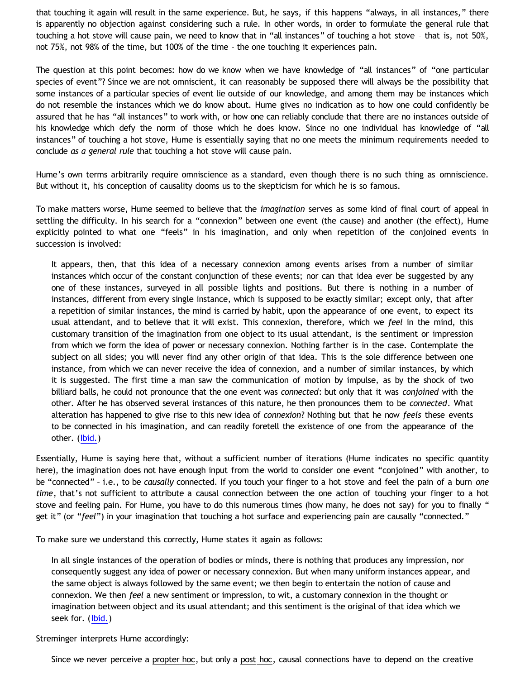that touching it again will result in the same experience. But, he says, if this happens "always, in all instances," there is apparently no objection against considering such a rule. In other words, in order to formulate the general rule that touching a hot stove will cause pain, we need to know that in "all instances" of touching a hot stove – that is, not 50%, not 75%, not 98% of the time, but 100% of the time – the one touching it experiences pain.

The question at this point becomes: how do we know when we have knowledge of "all instances" of "one particular species of event"? Since we are not omniscient, it can reasonably be supposed there will always be the possibility that some instances of a particular species of event lie outside of our knowledge, and among them may be instances which do not resemble the instances which we do know about. Hume gives no indication as to how one could confidently be assured that he has "all instances" to work with, or how one can reliably conclude that there are no instances outside of his knowledge which defy the norm of those which he does know. Since no one individual has knowledge of "all instances" of touching a hot stove, Hume is essentially saying that no one meets the minimum requirements needed to conclude *as a general rule* that touching a hot stove will cause pain.

Hume's own terms arbitrarily require omniscience as a standard, even though there is no such thing as omniscience. But without it, his conception of causality dooms us to the skepticism for which he is so famous.

To make matters worse, Hume seemed to believe that the *imagination* serves as some kind of final court of appeal in settling the difficulty. In his search for a "connexion" between one event (the cause) and another (the effect), Hume explicitly pointed to what one "feels" in his imagination, and only when repetition of the conjoined events in succession is involved:

It appears, then, that this idea of a necessary connexion among events arises from a number of similar instances which occur of the constant conjunction of these events; nor can that idea ever be suggested by any one of these instances, surveyed in all possible lights and positions. But there is nothing in a number of instances, different from every single instance, which is supposed to be exactly similar; except only, that after a repetition of similar instances, the mind is carried by habit, upon the appearance of one event, to expect its usual attendant, and to believe that it will exist. This connexion, therefore, which we *feel* in the mind, this customary transition of the imagination from one object to its usual attendant, is the sentiment or impression from which we form the idea of power or necessary connexion. Nothing farther is in the case. Contemplate the subject on all sides; you will never find any other origin of that idea. This is the sole difference between one instance, from which we can never receive the idea of connexion, and a number of similar instances, by which it is suggested. The first time a man saw the communication of motion by impulse, as by the shock of two billiard balls, he could not pronounce that the one event was *connected*: but only that it was *conjoined* with the other. After he has observed several instances of this nature, he then pronounces them to be *connected*. What alteration has happened to give rise to this new idea of *connexion*? Nothing but that he now *feels* these events to be connected in his imagination, and can readily foretell the existence of one from the appearance of the other. (lbid.)

Essentially, Hume is saying here that, without a sufficient number of iterations (Hume indicates no specific quantity here), the imagination does not have enough input from the world to consider one event "conjoined" with another, to be "connected" – i.e., to be *causally* connected. If you touch your finger to a hot stove and feel the pain of a burn *one time*, that's not sufficient to attribute a causal connection between the one action of touching your finger to a hot stove and feeling pain. For Hume, you have to do this numerous times (how many, he does not say) for you to finally " get it" (or "*feel*") in your imagination that touching a hot surface and experiencing pain are causally "connected."

To make sure we understand this correctly, Hume states it again as follows:

In all single instances of the operation of bodies or minds, there is nothing that produces any impression, nor consequently suggest any idea of power or necessary connexion. But when many uniform instances appear, and the same object is always followed by the same event; we then begin to entertain the notion of cause and connexion. We then *feel* a new sentiment or impression, to wit, a customary connexion in the thought or imagination between object and its usual attendant; and this sentiment is the original of that idea which we seek for. (lbid.)

Streminger interprets Hume accordingly:

Since we never perceive a propter hoc, but only a post hoc, causal connections have to depend on the creative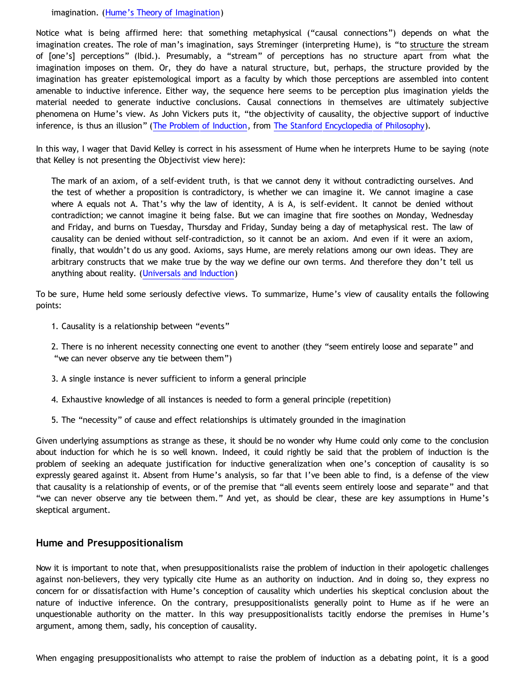imagination. ([Hume's Theory of Imagination](http://www.humesociety.org/hs/issues/v6n2/streminger/streminger-v6n2.pdf))

Notice what is being affirmed here: that something metaphysical ("causal connections") depends on what the imagination creates. The role of man's imagination, says Streminger (interpreting Hume), is "to structure the stream of [one's] perceptions" (Ibid.). Presumably, a "stream" of perceptions has no structure apart from what the imagination imposes on them. Or, they do have a natural structure, but, perhaps, the structure provided by the imagination has greater epistemological import as a faculty by which those perceptions are assembled into content amenable to inductive inference. Either way, the sequence here seems to be perception plus imagination yields the material needed to generate inductive conclusions. Causal connections in themselves are ultimately subjective phenomena on Hume's view. As John Vickers puts it, "the objectivity of causality, the objective support of inductive inference, is thus an illusion" [\(The Problem of Induction,](http://plato.stanford.edu/entries/induction-problem/) from [The Stanford Encyclopedia of Philosophy\)](http://plato.stanford.edu/).

In this way, I wager that David Kelley is correct in his assessment of Hume when he interprets Hume to be saying (note that Kelley is not presenting the Objectivist view here):

The mark of an axiom, of a self-evident truth, is that we cannot deny it without contradicting ourselves. And the test of whether a proposition is contradictory, is whether we can imagine it. We cannot imagine a case where A equals not A. That's why the law of identity, A is A, is self-evident. It cannot be denied without contradiction; we cannot imagine it being false. But we can imagine that fire soothes on Monday, Wednesday and Friday, and burns on Tuesday, Thursday and Friday, Sunday being a day of metaphysical rest. The law of causality can be denied without self-contradiction, so it cannot be an axiom. And even if it were an axiom, finally, that wouldn't do us any good. Axioms, says Hume, are merely relations among our own ideas. They are arbitrary constructs that we make true by the way we define our own terms. And therefore they don't tell us anything about reality. [\(Universals and Induction\)](http://www.objectivismstore.com/store/comersus_viewItem.asp?idProduct=35)

To be sure, Hume held some seriously defective views. To summarize, Hume's view of causality entails the following points:

- 1. Causality is a relationship between "events"
- 2. There is no inherent necessity connecting one event to another (they "seem entirely loose and separate" and "we can never observe any tie between them")
- 3. A single instance is never sufficient to inform a general principle
- 4. Exhaustive knowledge of all instances is needed to form a general principle (repetition)
- 5. The "necessity" of cause and effect relationships is ultimately grounded in the imagination

Given underlying assumptions as strange as these, it should be no wonder why Hume could only come to the conclusion about induction for which he is so well known. Indeed, it could rightly be said that the problem of induction is the problem of seeking an adequate justification for inductive generalization when one's conception of causality is so expressly geared against it. Absent from Hume's analysis, so far that I've been able to find, is a defense of the view that causality is a relationship of events, or of the premise that "all events seem entirely loose and separate" and that "we can never observe any tie between them." And yet, as should be clear, these are key assumptions in Hume's skeptical argument.

## **Hume and Presuppositionalism**

Now it is important to note that, when presuppositionalists raise the problem of induction in their apologetic challenges against non-believers, they very typically cite Hume as an authority on induction. And in doing so, they express no concern for or dissatisfaction with Hume's conception of causality which underlies his skeptical conclusion about the nature of inductive inference. On the contrary, presuppositionalists generally point to Hume as if he were an unquestionable authority on the matter. In this way presuppositionalists tacitly endorse the premises in Hume's argument, among them, sadly, his conception of causality.

When engaging presuppositionalists who attempt to raise the problem of induction as a debating point, it is a good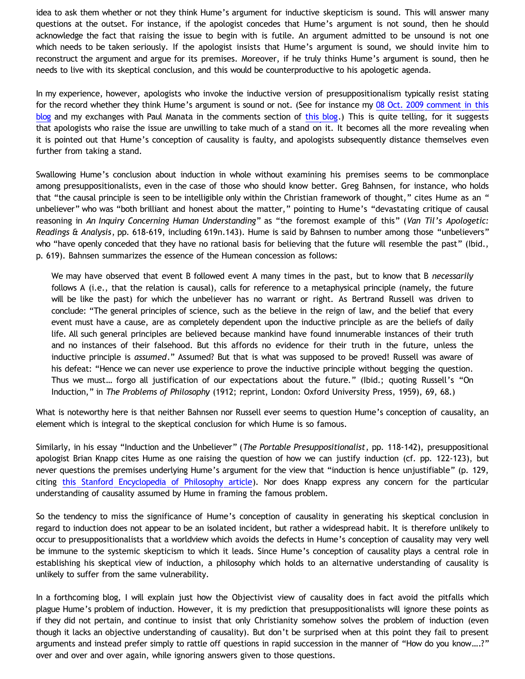idea to ask them whether or not they think Hume's argument for inductive skepticism is sound. This will answer many questions at the outset. For instance, if the apologist concedes that Hume's argument is not sound, then he should acknowledge the fact that raising the issue to begin with is futile. An argument admitted to be unsound is not one which needs to be taken seriously. If the apologist insists that Hume's argument is sound, we should invite him to reconstruct the argument and argue for its premises. Moreover, if he truly thinks Hume's argument is sound, then he needs to live with its skeptical conclusion, and this would be counterproductive to his apologetic agenda.

In my experience, however, apologists who invoke the inductive version of presuppositionalism typically resist stating for the record whether they think Hume's argument is sound or not. (See for instance my [08 Oct. 2009 comment in this](http://bahnsenburner.blogspot.com/2009/10/chris-bolt-on-hume-and-induction.html) [blog](http://bahnsenburner.blogspot.com/2009/10/chris-bolt-on-hume-and-induction.html) and my exchanges with Paul Manata in the comments section of [this blog](http://debunkingchristianity.blogspot.com/2006/04/justifying-tag-part-2-response-to-paul.html).) This is quite telling, for it suggests that apologists who raise the issue are unwilling to take much of a stand on it. It becomes all the more revealing when it is pointed out that Hume's conception of causality is faulty, and apologists subsequently distance themselves even further from taking a stand.

Swallowing Hume's conclusion about induction in whole without examining his premises seems to be commonplace among presuppositionalists, even in the case of those who should know better. Greg Bahnsen, for instance, who holds that "the causal principle is seen to be intelligible only within the Christian framework of thought," cites Hume as an " unbeliever" who was "both brilliant and honest about the matter," pointing to Hume's "devastating critique of causal reasoning in *An Inquiry Concerning Human Understanding*" as "the foremost example of this" (*Van Til's Apologetic: Readings & Analysis*, pp. 618-619, including 619n.143). Hume is said by Bahnsen to number among those "unbelievers" who "have openly conceded that they have no rational basis for believing that the future will resemble the past" (Ibid., p. 619). Bahnsen summarizes the essence of the Humean concession as follows:

We may have observed that event B followed event A many times in the past, but to know that B *necessarily* follows A (i.e., that the relation is causal), calls for reference to a metaphysical principle (namely, the future will be like the past) for which the unbeliever has no warrant or right. As Bertrand Russell was driven to conclude: "The general principles of science, such as the believe in the reign of law, and the belief that every event must have a cause, are as completely dependent upon the inductive principle as are the beliefs of daily life. All such general principles are believed because mankind have found innumerable instances of their truth and no instances of their falsehood. But this affords no evidence for their truth in the future, unless the inductive principle is *assumed*." Assumed? But that is what was supposed to be proved! Russell was aware of his defeat: "Hence we can never use experience to prove the inductive principle without begging the question. Thus we must… forgo all justification of our expectations about the future." (Ibid.; quoting Russell's "On Induction," in *The Problems of Philosophy* (1912; reprint, London: Oxford University Press, 1959), 69, 68.)

What is noteworthy here is that neither Bahnsen nor Russell ever seems to question Hume's conception of causality, an element which is integral to the skeptical conclusion for which Hume is so famous.

Similarly, in his essay "Induction and the Unbeliever" (*The Portable Presuppositionalist*, pp. 118-142), presuppositional apologist Brian Knapp cites Hume as one raising the question of how we can justify induction (cf. pp. 122-123), but never questions the premises underlying Hume's argument for the view that "induction is hence unjustifiable" (p. 129, citing [this Stanford Encyclopedia of Philosophy article\)](http://plato.stanford.edu/entries/induction-problem/). Nor does Knapp express any concern for the particular understanding of causality assumed by Hume in framing the famous problem.

So the tendency to miss the significance of Hume's conception of causality in generating his skeptical conclusion in regard to induction does not appear to be an isolated incident, but rather a widespread habit. It is therefore unlikely to occur to presuppositionalists that a worldview which avoids the defects in Hume's conception of causality may very well be immune to the systemic skepticism to which it leads. Since Hume's conception of causality plays a central role in establishing his skeptical view of induction, a philosophy which holds to an alternative understanding of causality is unlikely to suffer from the same vulnerability.

In a forthcoming blog, I will explain just how the Objectivist view of causality does in fact avoid the pitfalls which plague Hume's problem of induction. However, it is my prediction that presuppositionalists will ignore these points as if they did not pertain, and continue to insist that only Christianity somehow solves the problem of induction (even though it lacks an objective understanding of causality). But don't be surprised when at this point they fail to present arguments and instead prefer simply to rattle off questions in rapid succession in the manner of "How do you know….?" over and over and over again, while ignoring answers given to those questions.